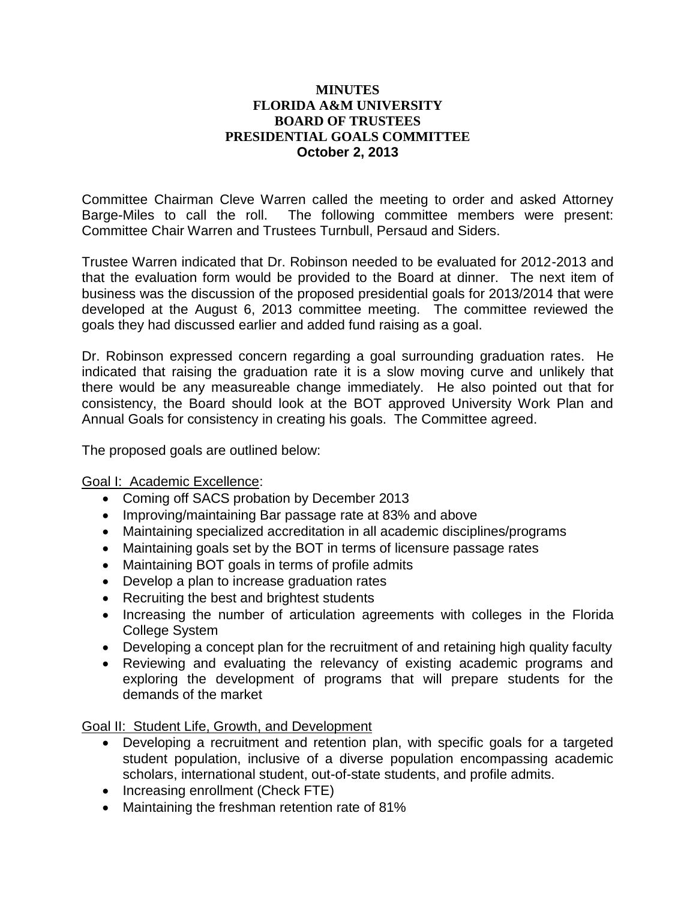### **MINUTES FLORIDA A&M UNIVERSITY BOARD OF TRUSTEES PRESIDENTIAL GOALS COMMITTEE October 2, 2013**

Committee Chairman Cleve Warren called the meeting to order and asked Attorney Barge-Miles to call the roll. The following committee members were present: Committee Chair Warren and Trustees Turnbull, Persaud and Siders.

Trustee Warren indicated that Dr. Robinson needed to be evaluated for 2012-2013 and that the evaluation form would be provided to the Board at dinner. The next item of business was the discussion of the proposed presidential goals for 2013/2014 that were developed at the August 6, 2013 committee meeting. The committee reviewed the goals they had discussed earlier and added fund raising as a goal.

Dr. Robinson expressed concern regarding a goal surrounding graduation rates. He indicated that raising the graduation rate it is a slow moving curve and unlikely that there would be any measureable change immediately. He also pointed out that for consistency, the Board should look at the BOT approved University Work Plan and Annual Goals for consistency in creating his goals. The Committee agreed.

The proposed goals are outlined below:

# Goal I: Academic Excellence:

- Coming off SACS probation by December 2013
- Improving/maintaining Bar passage rate at 83% and above
- Maintaining specialized accreditation in all academic disciplines/programs
- Maintaining goals set by the BOT in terms of licensure passage rates
- Maintaining BOT goals in terms of profile admits
- Develop a plan to increase graduation rates
- Recruiting the best and brightest students
- Increasing the number of articulation agreements with colleges in the Florida College System
- Developing a concept plan for the recruitment of and retaining high quality faculty
- Reviewing and evaluating the relevancy of existing academic programs and exploring the development of programs that will prepare students for the demands of the market

Goal II: Student Life, Growth, and Development

- Developing a recruitment and retention plan, with specific goals for a targeted student population, inclusive of a diverse population encompassing academic scholars, international student, out-of-state students, and profile admits.
- Increasing enrollment (Check FTE)
- Maintaining the freshman retention rate of 81%